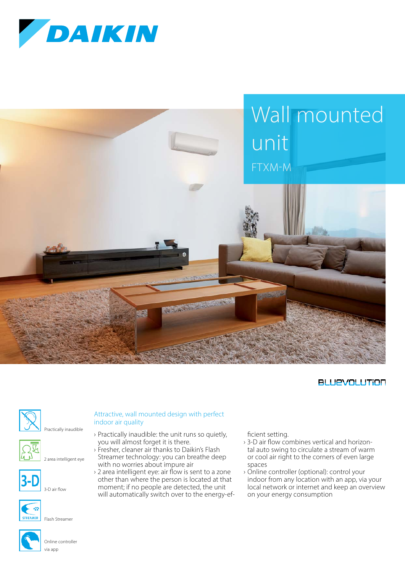



### **BLUEVOLUTION**



#### Attractive, wall mounted design with perfect indoor air quality

you will almost forget it is there.

with no worries about impure air

› Practically inaudible: the unit runs so quietly,

› 2 area intelligent eye: air flow is sent to a zone other than where the person is located at that moment; if no people are detected, the unit will automatically switch over to the energy-ef-

Practically inaudible







3-D air flow



via app

#### › Fresher, cleaner air thanks to Daikin's Flash Streamer technology: you can breathe deep



# Online controller

ficient setting.

- › 3-D air flow combines vertical and horizontal auto swing to circulate a stream of warm or cool air right to the corners of even large spaces
- › Online controller (optional): control your indoor from any location with an app, via your local network or internet and keep an overview on your energy consumption